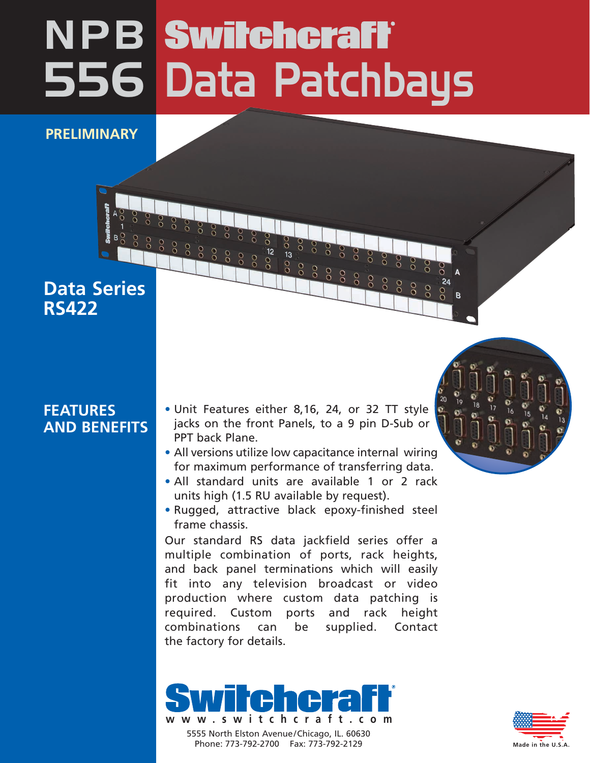## 556 Data Patchbays **NPB** Switchcraft

**PRELIMINARY**

## **Data Series RS422**

## **FEATURES AND BENEFITS**

- Unit Features either 8,16, 24, or 32 TT style jacks on the front Panels, to a 9 pin D-Sub or PPT back Plane.
- All versions utilize low capacitance internal wiring for maximum performance of transferring data.
- All standard units are available 1 or 2 rack units high (1.5 RU available by request).
- Rugged, attractive black epoxy-finished steel frame chassis.

Our standard RS data jackfield series offer a multiple combination of ports, rack heights, and back panel terminations which will easily fit into any television broadcast or video production where custom data patching is required. Custom ports and rack height combinations can be supplied. Contact the factory for details.